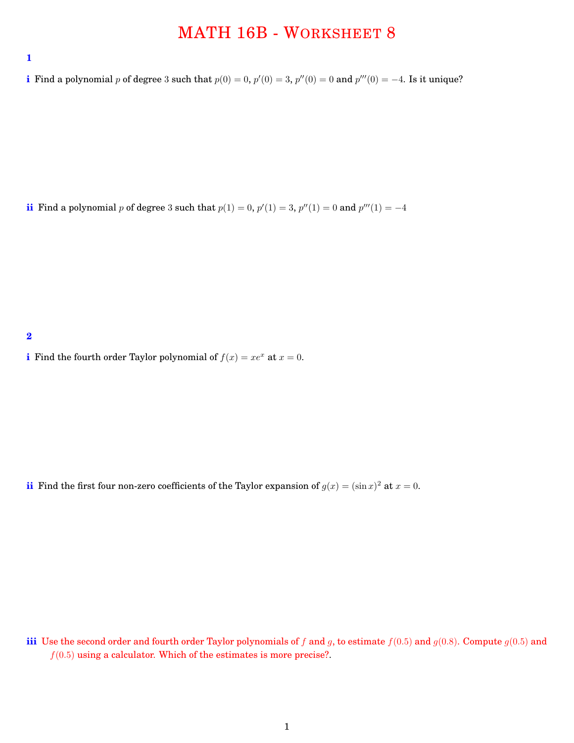## MATH 16B - WORKSHEET 8

**i** Find a polynomial *p* of degree 3 such that  $p(0) = 0$ ,  $p'(0) = 3$ ,  $p''(0) = 0$  and  $p'''(0) = -4$ . Is it unique?

**ii** Find a polynomial *p* of degree 3 such that  $p(1) = 0$ ,  $p'(1) = 3$ ,  $p''(1) = 0$  and  $p'''(1) = -4$ 

**2**

**i** Find the fourth order Taylor polynomial of  $f(x) = xe^x$  at  $x = 0$ .

**ii** Find the first four non-zero coefficients of the Taylor expansion of  $g(x) = (\sin x)^2$  at  $x = 0$ .

**iii** Use the second order and fourth order Taylor polynomials of *f* and *g*, to estimate  $f(0.5)$  and  $g(0.8)$ . Compute  $g(0.5)$  and  $f(0.5)$  using a calculator. Which of the estimates is more precise?.